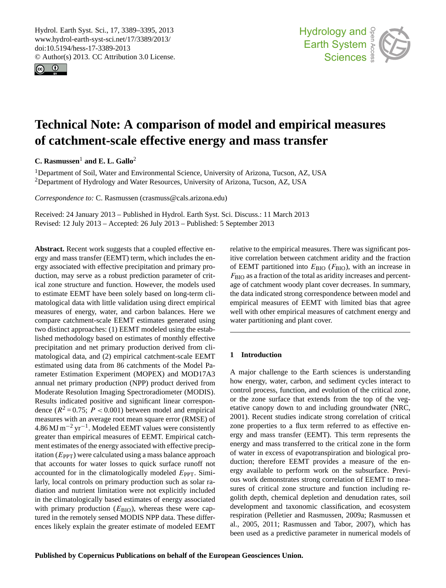<span id="page-0-0"></span>Hydrol. Earth Syst. Sci., 17, 3389–3395, 2013 www.hydrol-earth-syst-sci.net/17/3389/2013/ doi:10.5194/hess-17-3389-2013 © Author(s) 2013. CC Attribution 3.0 License.





# **Technical Note: A comparison of model and empirical measures of catchment-scale effective energy and mass transfer**

**C. Rasmussen**<sup>1</sup> **and E. L. Gallo**<sup>2</sup>

<sup>1</sup>Department of Soil, Water and Environmental Science, University of Arizona, Tucson, AZ, USA <sup>2</sup>Department of Hydrology and Water Resources, University of Arizona, Tucson, AZ, USA

*Correspondence to:* C. Rasmussen (crasmuss@cals.arizona.edu)

Received: 24 January 2013 – Published in Hydrol. Earth Syst. Sci. Discuss.: 11 March 2013 Revised: 12 July 2013 – Accepted: 26 July 2013 – Published: 5 September 2013

**Abstract.** Recent work suggests that a coupled effective energy and mass transfer (EEMT) term, which includes the energy associated with effective precipitation and primary production, may serve as a robust prediction parameter of critical zone structure and function. However, the models used to estimate EEMT have been solely based on long-term climatological data with little validation using direct empirical measures of energy, water, and carbon balances. Here we compare catchment-scale EEMT estimates generated using two distinct approaches: (1) EEMT modeled using the established methodology based on estimates of monthly effective precipitation and net primary production derived from climatological data, and (2) empirical catchment-scale EEMT estimated using data from 86 catchments of the Model Parameter Estimation Experiment (MOPEX) and MOD17A3 annual net primary production (NPP) product derived from Moderate Resolution Imaging Spectroradiometer (MODIS). Results indicated positive and significant linear correspondence ( $R^2 = 0.75$ ;  $P < 0.001$ ) between model and empirical measures with an average root mean square error (RMSE) of  $4.86 \text{ MJ m}^{-2} \text{ yr}^{-1}$ . Modeled EEMT values were consistently greater than empirical measures of EEMT. Empirical catchment estimates of the energy associated with effective precipitation  $(E_{PPT})$  were calculated using a mass balance approach that accounts for water losses to quick surface runoff not accounted for in the climatologically modeled  $E_{\text{PPT}}$ . Similarly, local controls on primary production such as solar radiation and nutrient limitation were not explicitly included in the climatologically based estimates of energy associated with primary production  $(E_{\text{BIO}})$ , whereas these were captured in the remotely sensed MODIS NPP data. These differences likely explain the greater estimate of modeled EEMT relative to the empirical measures. There was significant positive correlation between catchment aridity and the fraction of EEMT partitioned into  $E_{\rm BIO}$  ( $F_{\rm BIO}$ ), with an increase in  $F<sub>BIO</sub>$  as a fraction of the total as aridity increases and percentage of catchment woody plant cover decreases. In summary, the data indicated strong correspondence between model and empirical measures of EEMT with limited bias that agree well with other empirical measures of catchment energy and water partitioning and plant cover.

## **1 Introduction**

A major challenge to the Earth sciences is understanding how energy, water, carbon, and sediment cycles interact to control process, function, and evolution of the critical zone, or the zone surface that extends from the top of the vegetative canopy down to and including groundwater (NRC, 2001). Recent studies indicate strong correlation of critical zone properties to a flux term referred to as effective energy and mass transfer (EEMT). This term represents the energy and mass transferred to the critical zone in the form of water in excess of evapotranspiration and biological production; therefore EEMT provides a measure of the energy available to perform work on the subsurface. Previous work demonstrates strong correlation of EEMT to measures of critical zone structure and function including regolith depth, chemical depletion and denudation rates, soil development and taxonomic classification, and ecosystem respiration (Pelletier and Rasmussen, 2009a; Rasmussen et al., 2005, 2011; Rasmussen and Tabor, 2007), which has been used as a predictive parameter in numerical models of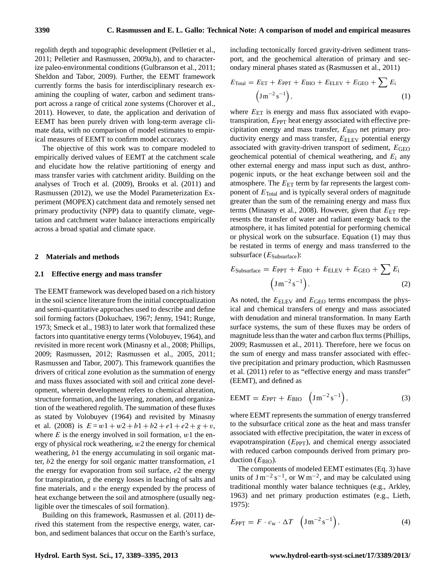regolith depth and topographic development (Pelletier et al., 2011; Pelletier and Rasmussen, 2009a,b), and to characterize paleo-environmental conditions (Gulbranson et al., 2011; Sheldon and Tabor, 2009). Further, the EEMT framework currently forms the basis for interdisciplinary research examining the coupling of water, carbon and sediment transport across a range of critical zone systems (Chorover et al., 2011). However, to date, the application and derivation of EEMT has been purely driven with long-term average climate data, with no comparison of model estimates to empirical measures of EEMT to confirm model accuracy.

The objective of this work was to compare modeled to empirically derived values of EEMT at the catchment scale and elucidate how the relative partitioning of energy and mass transfer varies with catchment aridity. Building on the analyses of Troch et al. (2009), Brooks et al. (2011) and Rasmussen (2012), we use the Model Parameterization Experiment (MOPEX) catchment data and remotely sensed net primary productivity (NPP) data to quantify climate, vegetation and catchment water balance interactions empirically across a broad spatial and climate space.

#### **2 Materials and methods**

#### **2.1 Effective energy and mass transfer**

The EEMT framework was developed based on a rich history in the soil science literature from the initial conceptualization and semi-quantitative approaches used to describe and define soil forming factors (Dokuchaev, 1967; Jenny, 1941; Runge, 1973; Smeck et al., 1983) to later work that formalized these factors into quantitative energy terms (Volobuyev, 1964), and revisited in more recent work (Minasny et al., 2008; Phillips, 2009; Rasmussen, 2012; Rasmussen et al., 2005, 2011; Rasmussen and Tabor, 2007). This framework quantifies the drivers of critical zone evolution as the summation of energy and mass fluxes associated with soil and critical zone development, wherein development refers to chemical alteration, structure formation, and the layering, zonation, and organization of the weathered regolith. The summation of these fluxes as stated by Volobuyev (1964) and revisited by Minasny et al. (2008) is  $E = w1 + w2 + b1 + b2 + e1 + e2 + g + v$ , where  $E$  is the energy involved in soil formation,  $w1$  the energy of physical rock weathering,  $w_2$  the energy for chemical weathering, b1 the energy accumulating in soil organic matter,  $b2$  the energy for soil organic matter transformation,  $e1$ the energy for evaporation from soil surface, e2 the energy for transpiration, g the energy losses in leaching of salts and fine materials, and  $v$  the energy expended by the process of heat exchange between the soil and atmosphere (usually negligible over the timescales of soil formation).

Building on this framework, Rasmussen et al. (2011) derived this statement from the respective energy, water, carbon, and sediment balances that occur on the Earth's surface, including tectonically forced gravity-driven sediment transport, and the geochemical alteration of primary and secondary mineral phases stated as (Rasmussen et al., 2011)

$$
E_{\text{Total}} = E_{\text{ET}} + E_{\text{PPT}} + E_{\text{BIO}} + E_{\text{ELEV}} + E_{\text{GEO}} + \sum E_{i}
$$

$$
\left(\text{J}\,\text{m}^{-2}\,\text{s}^{-1}\right),\tag{1}
$$

where  $E_{ET}$  is energy and mass flux associated with evapotranspiration,  $E_{\text{PPT}}$  heat energy associated with effective precipitation energy and mass transfer,  $E_{\rm BIO}$  net primary productivity energy and mass transfer,  $E<sub>ELEV</sub>$  potential energy associated with gravity-driven transport of sediment, EGEO geochemical potential of chemical weathering, and  $E_i$  any other external energy and mass input such as dust, anthropogenic inputs, or the heat exchange between soil and the atmosphere. The  $E_{ET}$  term by far represents the largest component of  $E_{\text{Total}}$  and is typically several orders of magnitude greater than the sum of the remaining energy and mass flux terms (Minasny et al., 2008). However, given that  $E_{ET}$  represents the transfer of water and radiant energy back to the atmosphere, it has limited potential for performing chemical or physical work on the subsurface. Equation (1) may thus be restated in terms of energy and mass transferred to the subsurface  $(E_{\text{Subsurface}})$ :

$$
E_{\text{Subsurface}} = E_{\text{PPT}} + E_{\text{BIO}} + E_{\text{ELEV}} + E_{\text{GEO}} + \sum E_{i}
$$

$$
\left(\text{J}\,\text{m}^{-2}\,\text{s}^{-1}\right). \tag{2}
$$

As noted, the  $E_{\text{ELEV}}$  and  $E_{\text{GEO}}$  terms encompass the physical and chemical transfers of energy and mass associated with denudation and mineral transformation. In many Earth surface systems, the sum of these fluxes may be orders of magnitude less than the water and carbon flux terms (Phillips, 2009; Rasmussen et al., 2011). Therefore, here we focus on the sum of energy and mass transfer associated with effective precipitation and primary production, which Rasmussen et al. (2011) refer to as "effective energy and mass transfer" (EEMT), and defined as

$$
EEMT = E_{PPT} + E_{BIO} \quad (Jm^{-2}s^{-1}), \tag{3}
$$

where EEMT represents the summation of energy transferred to the subsurface critical zone as the heat and mass transfer associated with effective precipitation, the water in excess of evapotranspiration  $(E_{\text{PPT}})$ , and chemical energy associated with reduced carbon compounds derived from primary production  $(E_{\text{BIO}})$ .

The components of modeled EEMT estimates (Eq. 3) have units of  $\text{J m}^{-2} \text{s}^{-1}$ , or W m<sup>-2</sup>, and may be calculated using traditional monthly water balance techniques (e.g., Arkley, 1963) and net primary production estimates (e.g., Lieth, 1975):

$$
E_{\text{PPT}} = F \cdot c_{\text{w}} \cdot \Delta T \quad \left( \text{J} \,\text{m}^{-2} \,\text{s}^{-1} \right), \tag{4}
$$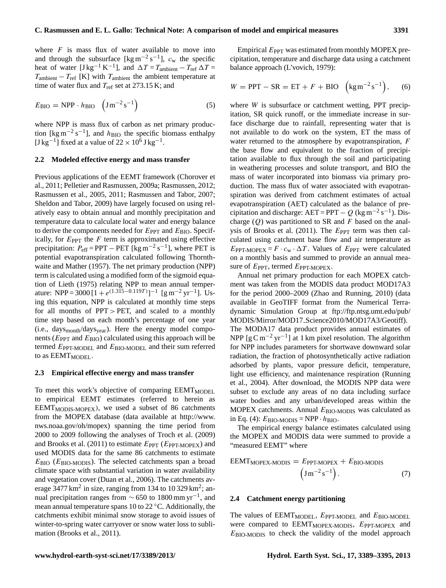where  $F$  is mass flux of water available to move into and through the subsurface [kg m<sup>-2</sup> s<sup>-1</sup>],  $c_w$  the specific heat of water  $[Jkg^{-1} K^{-1}]$ , and  $\Delta T = T_{\text{ambient}} - T_{\text{ref}} \Delta T =$  $T_{\text{ambient}} - T_{\text{ref}}$  [K] with  $T_{\text{ambient}}$  the ambient temperature at time of water flux and  $T_{ref}$  set at 273.15 K; and

$$
E_{\rm BIO} = \text{NPP} \cdot h_{\rm BIO} \left( \text{J} \,\text{m}^{-2} \,\text{s}^{-1} \right) \tag{5}
$$

where NPP is mass flux of carbon as net primary production [kg m<sup>-2</sup> s<sup>-1</sup>], and  $h_{\text{BIO}}$  the specific biomass enthalpy [J kg<sup>-1</sup>] fixed at a value of  $22 \times 10^6$  J kg<sup>-1</sup>.

#### **2.2 Modeled effective energy and mass transfer**

Previous applications of the EEMT framework (Chorover et al., 2011; Pelletier and Rasmussen, 2009a; Rasmussen, 2012; Rasmussen et al., 2005, 2011; Rasmussen and Tabor, 2007; Sheldon and Tabor, 2009) have largely focused on using relatively easy to obtain annual and monthly precipitation and temperature data to calculate local water and energy balance to derive the components needed for  $E_{\text{PPT}}$  and  $E_{\text{BIO}}$ . Specifically, for  $E_{PPT}$  the  $F$  term is approximated using effective precipitation:  $P_{\text{eff}} = \text{PPT} - \text{PET}$  [kg m<sup>-2</sup> s<sup>-1</sup>], where PET is potential evapotranspiration calculated following Thornthwaite and Mather (1957). The net primary production (NPP) term is calculated using a modified form of the sigmoid equation of Lieth (1975) relating NPP to mean annual temperature: NPP = 3000 [1 +  $e^{(1.3\bar{1}5 - 0.119T)}$ ]<sup>-1</sup> [g m<sup>-2</sup> yr<sup>-1</sup>]. Using this equation, NPP is calculated at monthly time steps for all months of  $PPT > PET$ , and scaled to a monthly time step based on each month's percentage of one year  $(i.e., days_{month}/days_{year})$ . Here the energy model components ( $E_{\text{PPT}}$  and  $E_{\text{BIO}}$ ) calculated using this approach will be termed  $E_{\text{PPT-MODEL}}$  and  $E_{\text{BIO-MODEL}}$  and their sum referred to as EEMT<sub>MODEL</sub>.

#### **2.3 Empirical effective energy and mass transfer**

To meet this work's objective of comparing EEMT<sub>MODEL</sub> to empirical EEMT estimates (referred to herein as  $EEMT<sub>MODIS-MOPEX</sub>$ , we used a subset of 86 catchments from the MOPEX database (data available at [http://www.](http://www.nws.noaa.gov/oh/mopex) [nws.noaa.gov/oh/mopex\)](http://www.nws.noaa.gov/oh/mopex) spanning the time period from 2000 to 2009 following the analyses of Troch et al. (2009) and Brooks et al. (2011) to estimate  $E_{PPT}$  ( $E_{PPT-MOPEX}$ ) and used MODIS data for the same 86 catchments to estimate  $E_{\rm BIO}$  ( $E_{\rm BIO-MODIS}$ ). The selected catchments span a broad climate space with substantial variation in water availability and vegetation cover (Duan et al., 2006). The catchments average  $3477 \text{ km}^2$  in size, ranging from 134 to 10 329 km<sup>2</sup>; annual precipitation ranges from  $\sim$  650 to 1800 mm yr<sup>-1</sup>, and mean annual temperature spans 10 to 22 ◦C. Additionally, the catchments exhibit minimal snow storage to avoid issues of winter-to-spring water carryover or snow water loss to sublimation (Brooks et al., 2011).

Empirical  $E_{\text{PPT}}$  was estimated from monthly MOPEX precipitation, temperature and discharge data using a catchment balance approach (L'vovich, 1979):

$$
W = \text{PPT} - \text{SR} = \text{ET} + F + \text{BIO} \quad \left(\text{kg} \,\text{m}^{-2} \,\text{s}^{-1}\right), \qquad (6)
$$

where *W* is subsurface or catchment wetting, PPT precipitation, SR quick runoff, or the immediate increase in surface discharge due to rainfall, representing water that is not available to do work on the system, ET the mass of water returned to the atmosphere by evapotranspiration, F the base flow and equivalent to the fraction of precipitation available to flux through the soil and participating in weathering processes and solute transport, and BIO the mass of water incorporated into biomass via primary production. The mass flux of water associated with evapotranspiration was derived from catchment estimates of actual evapotranspiration (AET) calculated as the balance of precipitation and discharge: AET = PPT –  $Q$  (kg m<sup>-2</sup> s<sup>-1</sup>). Discharge  $(Q)$  was partitioned to SR and F based on the analysis of Brooks et al. (2011). The  $E_{\text{PPT}}$  term was then calculated using catchment base flow and air temperature as  $E_{\text{PPT-MOPEX}} = F \cdot c_{\text{w}} \cdot \Delta T$ . Values of  $E_{\text{PPT}}$  were calculated on a monthly basis and summed to provide an annual measure of  $E_{\text{PPT}}$ , termed  $E_{\text{PPT-MOPEX}}$ .

Annual net primary production for each MOPEX catchment was taken from the MODIS data product MOD17A3 for the period 2000–2009 (Zhao and Running, 2010) (data available in GeoTIFF format from the Numerical Terradynamic Simulation Group at [ftp://ftp.ntsg.umt.edu/pub/](ftp://ftp.ntsg.umt.edu/pub/MODIS/Mirror/MOD17_Science 2010/MOD17A3/Geotiff) MODIS/Mirror/MOD17 [Science2010/MOD17A3/Geotiff\)](ftp://ftp.ntsg.umt.edu/pub/MODIS/Mirror/MOD17_Science 2010/MOD17A3/Geotiff). The MODA17 data product provides annual estimates of NPP  $[g C m^{-2} yr^{-1}]$  at 1 km pixel resolution. The algorithm for NPP includes parameters for shortwave downward solar radiation, the fraction of photosynthetically active radiation adsorbed by plants, vapor pressure deficit, temperature, light use efficiency, and maintenance respiration (Running et al., 2004). After download, the MODIS NPP data were subset to exclude any areas of no data including surface water bodies and any urban/developed areas within the MOPEX catchments. Annual  $E_{\text{BIO-MODIS}}$  was calculated as in Eq. (4):  $E_{\text{BIO-MODIS}} = \text{NPP} \cdot h_{\text{BIO}}$ .

The empirical energy balance estimates calculated using the MOPEX and MODIS data were summed to provide a "measured EEMT" where

$$
EEMTMOPEX-MODIS = EPPT-MOPEX + EBIO-MODIS
$$

$$
(Jm-2s-1).
$$
 (7)

## **2.4 Catchment energy partitioning**

The values of  $EEMT<sub>MODEL</sub>$ ,  $E<sub>PPT-MODEL</sub>$  and  $E<sub>BIO-MODEL</sub>$ were compared to  $EEMT<sub>MOPEX-MODIS</sub>$ ,  $E<sub>PT-MOPEX</sub>$  and  $E_{\text{BIO-MODIS}}$  to check the validity of the model approach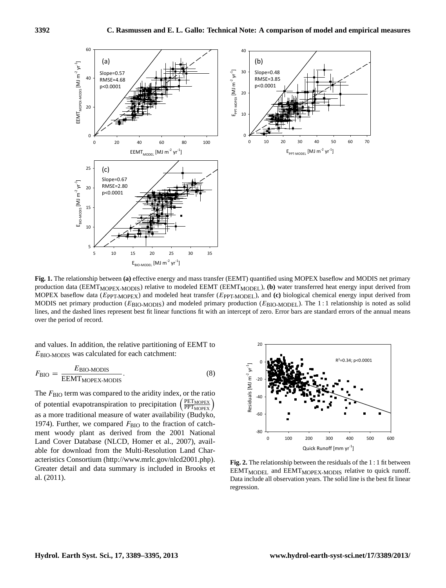

**Fig. 1.** The relationship between (a) enective energy and mass transfer (EEMT) quantified using MOFEA basenow and MODIS het primary production data (EEMT<sub>MOPEX</sub>-M<sub>ODIS</sub>) relative to modeled EEMT (EEMT<sub>MODEL</sub>), (b) water t MOPEX baseflow data (EppT-MOPEX) and modeled heat transfer (EppT-MODEL), and (c) biological chemical energy input derived from lines, and the dashed lines represent best fit linear functions fit with an intercept of zero. Error bars are standard errors of the annual means 359 baseflow data (*EPPT-MOPEX*) and modeled heat transfer (*EPPT-MODEL*), and (c) biological chemical **Fig. 1.** The relationship between **(a)** effective energy and mass transfer (EEMT) quantified using MOPEX baseflow and MODIS net primary MODIS net primary production ( $E_{\text{BIO-MODIS}}$ ) and modeled primary production ( $E_{\text{BIO-MODE}}$ ). The 1:1 relationship is noted as solid over the period of record.

EBIO-MODIS was calculated for each catchment: and values. In addition, the relative partitioning of EEMT to

$$
F_{\rm BIO} = \frac{E_{\rm BIO-MODIS}}{EEMT_{\rm MOPEX-MODIS}}.\tag{8}
$$

The F<sub>BIO</sub> term was compared to the aridity index, or the ratio of potential evapotranspiration to precipitation PET<sub>MOPEX</sub><sup>)</sup> as a more traditional measure of water availability (Budyko, 1974). Further, we compared  $F_{\rm BIO}$  to the fraction of catchment woody plant as derived from the 2001 National Land Cover Database (NLCD, Homer et al., 2007), available for download from the Multi-Resolution Land Characteristics Consortium [\(http://www.mrlc.gov/nlcd2001.php\)](http://www.mrlc.gov/nlcd2001.php). Greater detail and data summary is included in Brooks et al. (2011).



Fig. 2. The relationship between the residuals of the 1:1 fit between EEMT<sub>MODEL</sub> and EEMT<sub>MOPEX-MODIS</sub> relative to quick runoff. Data include all observation years. The solid line is the best fit linear regression.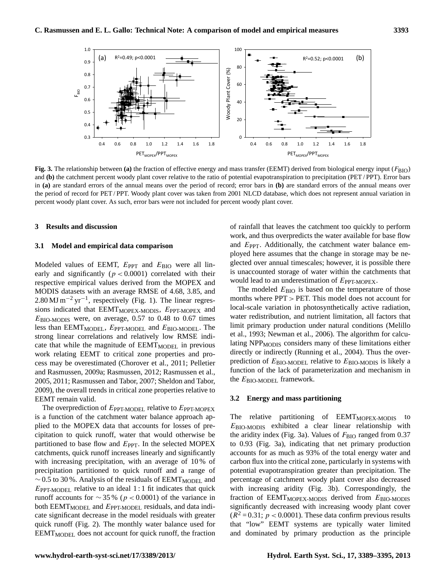

**Fig. 3.** The relationship between (a) the fraction of effective energy and mass transfer (EEMT) derived from biological energy input ( $F_{\rm BIO}$ ) in (a) are standard errors of the annual means over the period of record; error bars in (b) are standard errors of the annual means over percent woody plant cover. As such, error bars were not included for percent woody plant cover. and **(b)** the catchment percent woody plant cover relative to the ratio of potential evapotranspiration to precipitation (PET / PPT). Error bars the period of record for PET / PPT. Woody plant cover was taken from 2001 NLCD database, which does not represent annual variation in

#### **3 Results and discussion**

#### **3.1 Model and empirical data comparison**

Modeled values of EEMT,  $E_{\text{PPT}}$  and  $E_{\text{BIO}}$  were all linearly and significantly ( $p < 0.0001$ ) correlated with their respective empirical values derived from the MOPEX and MODIS datasets with an average RMSE of 4.68, 3.85, and  $2.80 \text{ MJ m}^{-2} \text{ yr}^{-1}$ , respectively (Fig. 1). The linear regressions indicated that  $EEMT<sub>MOPEX-MODIS</sub>$ ,  $E<sub>PT-MOPEX</sub>$  and  $E_{\text{BIO-MODIS}}$  were, on average, 0.57 to 0.48 to 0.67 times less than EEMT<sub>MODEL</sub>,  $E_{\text{PPT-MODEL}}$  and  $E_{\text{BIO-MODEL}}$ . The strong linear correlations and relatively low RMSE indicate that while the magnitude of EEMT<sub>MODEL</sub> in previous work relating EEMT to critical zone properties and process may be overestimated (Chorover et al., 2011; Pelletier and Rasmussen, 2009a; Rasmussen, 2012; Rasmussen et al., 2005, 2011; Rasmussen and Tabor, 2007; Sheldon and Tabor, 2009), the overall trends in critical zone properties relative to EEMT remain valid.

The overprediction of  $E_{\text{PPT-MODEL}}$  relative to  $E_{\text{PPT-MOPEX}}$ is a function of the catchment water balance approach applied to the MOPEX data that accounts for losses of precipitation to quick runoff, water that would otherwise be partitioned to base flow and  $E_{PPT}$ . In the selected MOPEX catchments, quick runoff increases linearly and significantly with increasing precipitation, with an average of 10 % of precipitation partitioned to quick runoff and a range of  $\sim$  0.5 to 30 %. Analysis of the residuals of EEMT<sub>MODEL</sub> and  $E_{\text{PPT-MODEL}}$  relative to an ideal 1:1 fit indicates that quick runoff accounts for  $\sim$  35 % (p < 0.0001) of the variance in both  $EEMT<sub>MODEL</sub>$  and  $E<sub>PPT-MODEL</sub>$  residuals, and data indicate significant decrease in the model residuals with greater quick runoff (Fig. 2). The monthly water balance used for EEMT<sub>MODEL</sub> does not account for quick runoff, the fraction

**Example 379 and discussion** of rainfall that leaves the catchment too quickly to perform work, and thus overpredicts the water available for base flow<br>expercent and thus over predicts the water available for base flow ployed here assumes that the change in storage may be neand  $E_{\text{PPT}}$ . Additionally, the catchment water balance emglected over annual timescales; however, it is possible there is unaccounted storage of water within the catchments that would lead to an underestimation of  $E_{\text{PPT-MOPEX}}$ .

> The modeled  $E_{\text{BIO}}$  is based on the temperature of those months where PPT > PET. This model does not account for local-scale variation in photosynthetically active radiation, water redistribution, and nutrient limitation, all factors that limit primary production under natural conditions (Melillo et al., 1993; Newman et al., 2006). The algorithm for calculating NPP<sub>MODIS</sub> considers many of these limitations either directly or indirectly (Running et al., 2004). Thus the overprediction of  $E_{\text{BIO-MODEL}}$  relative to  $E_{\text{BIO-MODIS}}$  is likely a function of the lack of parameterization and mechanism in the  $E_{\text{BIO-MODE}}$  framework.

#### **3.2 Energy and mass partitioning**

to 0.93 (Fig. 3a), indicating that net primary production The relative partitioning of EEMT<sub>MOPEX-MODIS</sub> to EBIO-MODIS exhibited a clear linear relationship with the aridity index (Fig. 3a). Values of  $F_{\rm BIO}$  ranged from 0.37 accounts for as much as 93% of the total energy water and carbon flux into the critical zone, particularly in systems with potential evapotranspiration greater than precipitation. The percentage of catchment woody plant cover also decreased with increasing aridity (Fig. 3b). Correspondingly, the fraction of  $EEMT<sub>MOPEX-MODIS</sub>$  derived from  $E<sub>BIO-MODIS</sub>$ significantly decreased with increasing woody plant cover  $(R^2 = 0.31; p < 0.0001)$ . These data confirm previous results that "low" EEMT systems are typically water limited and dominated by primary production as the principle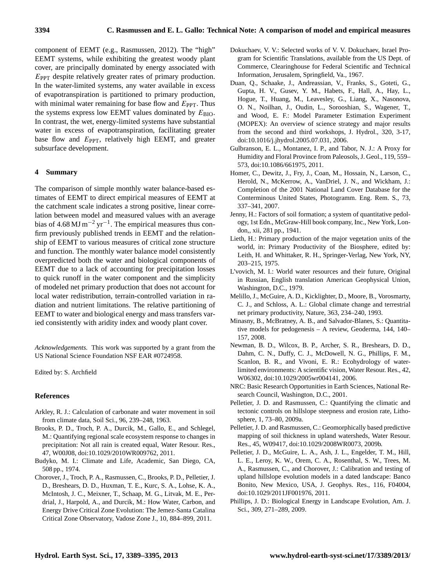component of EEMT (e.g., Rasmussen, 2012). The "high" EEMT systems, while exhibiting the greatest woody plant cover, are principally dominated by energy associated with  $E_{\text{PPT}}$  despite relatively greater rates of primary production. In the water-limited systems, any water available in excess of evapotranspiration is partitioned to primary production, with minimal water remaining for base flow and  $E_{\text{PPT}}$ . Thus the systems express low EEMT values dominated by  $E_{\text{BIO}}$ . In contrast, the wet, energy-limited systems have substantial water in excess of evapotranspiration, facilitating greater base flow and  $E_{\text{PPT}}$ , relatively high EEMT, and greater subsurface development.

## **4 Summary**

The comparison of simple monthly water balance-based estimates of EEMT to direct empirical measures of EEMT at the catchment scale indicates a strong positive, linear correlation between model and measured values with an average bias of 4.68 MJ m<sup>-2</sup> yr<sup>-1</sup>. The empirical measures thus confirm previously published trends in EEMT and the relationship of EEMT to various measures of critical zone structure and function. The monthly water balance model consistently overpredicted both the water and biological components of EEMT due to a lack of accounting for precipitation losses to quick runoff in the water component and the simplicity of modeled net primary production that does not account for local water redistribution, terrain-controlled variation in radiation and nutrient limitations. The relative partitioning of EEMT to water and biological energy and mass transfers varied consistently with aridity index and woody plant cover.

*Acknowledgements.* This work was supported by a grant from the US National Science Foundation NSF EAR #0724958.

Edited by: S. Archfield

#### **References**

- Arkley, R. J.: Calculation of carbonate and water movement in soil from climate data, Soil Sci., 96, 239–248, 1963.
- Brooks, P. D., Troch, P. A., Durcik, M., Gallo, E., and Schlegel, M.: Quantifying regional scale ecosystem response to changes in precipitation: Not all rain is created equal, Water Resour. Res., 47, W00J08, doi[:10.1029/2010WR009762,](http://dx.doi.org/10.1029/2010WR009762) 2011.
- Budyko, M. I.: Climate and Life, Academic, San Diego, CA, 508 pp., 1974.
- Chorover, J., Troch, P. A., Rasmussen, C., Brooks, P. D., Pelletier, J. D., Breshears, D. D., Huxman, T. E., Kurc, S. A., Lohse, K. A., McIntosh, J. C., Meixner, T., Schaap, M. G., Litvak, M. E., Perdrial, J., Harpold, A., and Durcik, M.: How Water, Carbon, and Energy Drive Critical Zone Evolution: The Jemez-Santa Catalina Critical Zone Observatory, Vadose Zone J., 10, 884–899, 2011.
- Dokuchaev, V. V.: Selected works of V. V. Dokuchaev, Israel Program for Scientific Translations, available from the US Dept. of Commerce, Clearinghouse for Federal Scientific and Technical Information, Jerusalem, Springfield, Va., 1967.
- Duan, Q., Schaake, J., Andreassian, V., Franks, S., Goteti, G., Gupta, H. V., Gusev, Y. M., Habets, F., Hall, A., Hay, L., Hogue, T., Huang, M., Leavesley, G., Liang, X., Nasonova, O. N., Noilhan, J., Oudin, L., Sorooshian, S., Wagener, T., and Wood, E. F.: Model Parameter Estimation Experiment (MOPEX): An overview of science strategy and major results from the second and third workshops, J. Hydrol., 320, 3-17, doi[:10.1016/j.jhydrol.2005.07.031,](http://dx.doi.org/10.1016/j.jhydrol.2005.07.031) 2006.
- Gulbranson, E. L., Montanez, I. P., and Tabor, N. J.: A Proxy for Humidity and Floral Province from Paleosols, J. Geol., 119, 559– 573, doi[:10.1086/661975,](http://dx.doi.org/10.1086/661975) 2011.
- Homer, C., Dewitz, J., Fry, J., Coan, M., Hossain, N., Larson, C., Herold, N., McKerrow, A., VanDriel, J. N., and Wickham, J.: Completion of the 2001 National Land Cover Database for the Conterminous United States, Photogramm. Eng. Rem. S., 73, 337–341, 2007.
- Jenny, H.: Factors of soil formation; a system of quantitative pedology, 1st Edn., McGraw-Hill book company, Inc., New York, London,, xii, 281 pp., 1941.
- Lieth, H.: Primary production of the major vegetation units of the world, in: Primary Productivity of the Biosphere, edited by: Leith, H. and Whittaker, R. H., Springer-Verlag, New York, NY, 203–215, 1975.
- L'vovich, M. I.: World water resources and their future, Original in Russian, English translation American Geophysical Union, Washington, D.C., 1979.
- Melillo, J., McGuire, A. D., Kicklighter, D., Moore, B., Vorosmarty, C. J., and Schloss, A. L.: Global climate change and terrestrial net primary productivity, Nature, 363, 234–240, 1993.
- Minasny, B., McBratney, A. B., and Salvador-Blanes, S.: Quantitative models for pedogenesis – A review, Geoderma, 144, 140– 157, 2008.
- Newman, B. D., Wilcox, B. P., Archer, S. R., Breshears, D. D., Dahm, C. N., Duffy, C. J., McDowell, N. G., Phillips, F. M., Scanlon, B. R., and Vivoni, E. R.: Ecohydrology of waterlimited environments: A scientific vision, Water Resour. Res., 42, W06302, doi[:10.1029/2005wr004141,](http://dx.doi.org/10.1029/2005wr004141) 2006.
- NRC: Basic Research Opportunities in Earth Sciences, National Research Council, Washington, D.C., 2001.
- Pelletier, J. D. and Rasmussen, C.: Quantifying the climatic and tectonic controls on hillslope steepness and erosion rate, Lithosphere, 1, 73–80, 2009a.
- Pelletier, J. D. and Rasmussen, C.: Geomorphically based predictive mapping of soil thickness in upland watersheds, Water Resour. Res., 45, W09417, doi[:10.1029/2008WR0073,](http://dx.doi.org/10.1029/2008WR0073) 2009b.
- Pelletier, J. D., McGuire, L. A., Ash, J. L., Engelder, T. M., Hill, L. E., Leroy, K. W., Orem, C. A., Rosenthal, S. W., Trees, M. A., Rasmussen, C., and Chorover, J.: Calibration and testing of upland hillslope evolution models in a dated landscape: Banco Bonito, New Mexico, USA, J. Geophys. Res., 116, F04004, doi[:10.1029/2011JF001976,](http://dx.doi.org/10.1029/2011JF001976) 2011.
- Phillips, J. D.: Biological Energy in Landscape Evolution, Am. J. Sci., 309, 271–289, 2009.